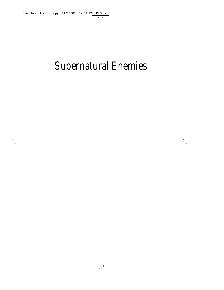# Supernatural Enemies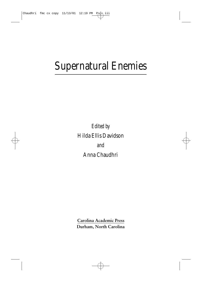# Supernatural Enemies

*Edited by* Hilda Ellis Davidson *and* Anna Chaudhri

**Carolina Academic Press Durham, North Carolina**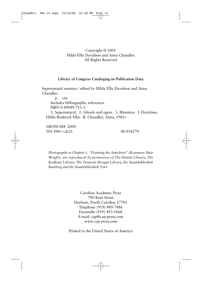## Copyright © 2001 Hilda Ellis Davidson and Anna Chaudhri All Rights Reserved

### **Library of Congress Cataloging-in-Publication Data**

Supernatural enemies / edited by Hilda Ellis Davidson and Anna Chaudhri.

p. cm. Includes bibliographic references. ISBN 0-89089-711-5 1. Supernatural. 2. Ghouls and ogres. 3. Monsters. I. Davidson, Hilda Roderick Ellis. II. Chaudhri, Anna, 1961–

GR500.S88 2000 001.944 - dc21 00-034274

*Photographs in Chapter 1, "Picturing the Antichrist" (Rosemary Muir Wright), are reproduced by permission of The British Library, The Bodleian Library, The Pierpont Morgan Library, the Staatsbibliothek Bamberg and the Staatsbibliothek Trier.*

> Carolina Academic Press 700 Kent Street Durham, North Carolina 27701 Telephone (919) 489-7486 Facsimilie (919) 493-5668 E-mail: cap@cap-press.com www.cap-press.com

Printed in the United States of America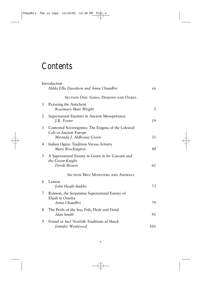# **Contents**

|   | Introduction<br>Hilda Ellis Davidson and Anna Chaudhri                                                      | vii |
|---|-------------------------------------------------------------------------------------------------------------|-----|
|   | <b>SECTION ONE: GODS, DEMONS AND OGRES</b>                                                                  |     |
| 1 | Picturing the Antichrist<br>Rosemary Muir Wright                                                            | 3   |
| 2 | Supernatural Enemies in Ancient Mesopotamia<br>J.R. Porter                                                  | 19  |
| 3 | Contested Sovereignties: The Enigma of the Celestial<br>Cult in Ancient Europe<br>Miranda J. Aldhouse Green | 31  |
| 4 | Indian Ogres: Tradition Versus Artistry<br>Mary Brockington                                                 | 49  |
| 5 | A Supernatural Enemy in Green in Sir Gawain and<br>the Green Knight<br>Derek Brewer                         | 61  |
|   | <b>SECTION TWO: MONSTERS AND ANIMALS</b>                                                                    |     |
| 6 | Lamias<br>John Heath-Stubbs                                                                                 | 73  |
| 7 | Ruimon, the Serpentine Supernatural Enemy of<br>Elijah in Ossetia<br>Anna Chaudhri                          | 79  |
| 8 | The Perils of the Sea, Fish, Flesh and Fiend<br>Alan Smith                                                  | 91  |
| 9 | Friend or foe? Norfolk Traditions of Shuck<br>Jennifer Westwood                                             | 101 |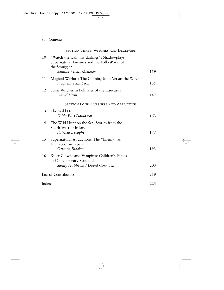### vi Contents

|                      | <b>SECTION THREE: WITCHES AND DECEIVERS</b>                                                                                        |     |
|----------------------|------------------------------------------------------------------------------------------------------------------------------------|-----|
| 10                   | "Watch the wall, my darlings": Shadowplays,<br>Supernatural Enemies and the Folk-World of<br>the Smuggler<br>Samuel Pyeatt Menefee | 119 |
| 11                   | Magical Warfare: The Cunning Man Versus the Witch<br>Jacqueline Simpson                                                            | 135 |
| 12                   | Some Witches in Folktales of the Caucasus<br>David Hunt                                                                            | 147 |
|                      | <b>SECTION FOUR: PURSUERS AND ABDUCTORS</b>                                                                                        |     |
| 13                   | The Wild Hunt<br>Hilda Ellis Davidson                                                                                              | 163 |
| 14                   | The Wild Hunt on the Sea: Stories from the<br>South-West of Ireland<br>Patricia Lysaght                                            | 177 |
| 15                   | Supernatural Abductions: The "Enemy" as<br>Kidnapper in Japan<br>Carmen Blacker                                                    | 193 |
| 16                   | Killer Clowns and Vampires: Children's Panics<br>in Contemporary Scotland<br>Sandy Hobbs and David Cornwell                        | 203 |
|                      |                                                                                                                                    |     |
| List of Contributors |                                                                                                                                    | 219 |
| Index                |                                                                                                                                    | 223 |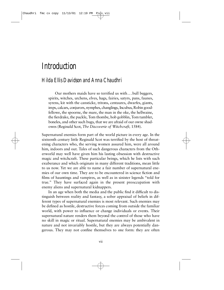# *Introduction*

## *Hilda Ellis Davidson and Anna Chaudhri*

Our mothers maids have so terrified us with... bull beggers, spirits, witches, urchens, elves, hags, fairies, satyrs, pans, faunes, syrens, kit with the cansticke, tritons, centaures, dwarfes, giants, imps, calcars, conjurors, nymphes, changlings, Incubus, Robin goodfellowe, the spoorne, the mare, the man in the oke, the hellwaine, the fierdrake, the puckle, Tom thombe, hob gobblin, Tom tumbler, boneles, and other such bugs, that we are afraid of our owne shadowes (Reginald Scot, *The Discoverie of Witchcraft*, 1584).

Supernatural enemies form part of the world picture in every age. In the sixteenth century little Reginald Scot was terrified by the host of threatening characters who, the serving women assured him, were all around him, indoors and out. Tales of such dangerous characters from the Otherworld may well have given him his lasting obsession with destructive magic and witchcraft. These particular beings, which he lists with such exuberance and which originate in many different traditions, mean little to us now. Yet we are able to name a fair number of supernatural enemies of our own time. They are to be encountered in science fiction and films of hauntings and vampires, as well as in sinister legends "told for true." They have surfaced again in the present preoccupation with enemy aliens and supernatural kidnappers.

In an age when both the media and the public find it difficult to distinguish between reality and fantasy, a sober appraisal of beliefs in different types of supernatural enemies is most relevant. Such enemies may be defined as hostile, destructive forces coming from outside the familiar world, with power to influence or change individuals or events. Their supernatural nature renders them beyond the control of those who have no skill in magic or ritual. Supernatural enemies may be ambivalent in nature and not invariably hostile, but they are always potentially dangerous. They may not confine themselves to one form: they are often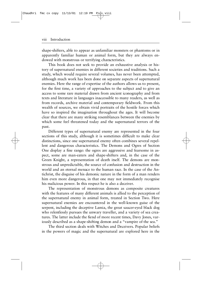#### viii Introduction

shape-shifters, able to appear as unfamiliar monsters or phantoms or in apparently familiar human or animal form, but they are always endowed with monstrous or terrifying characteristics.

This book does not seek to provide an exhaustive analysis or history of supernatural enemies in different societies and traditions. Such a study, which would require several volumes, has never been attempted, although much work has been done on separate aspects of supernatural enemies. Here the range of expertise of the authors allows us to present, for the first time, a variety of approaches to the subject and to give an access to some rare material drawn from ancient iconography and from texts and literature in languages inaccessible to many readers, as well as from records, archive material and contemporary fieldwork. From this wealth of sources, we obtain vivid portraits of the hostile forces which have so inspired the imagination throughout the ages. It will become clear that there are many striking resemblances between the enemies by which some feel threatened today and the supernatural terrors of the past.

Different types of supernatural enemy are represented in the four sections of this study, although it is sometimes difficult to make clear distinctions, since one supernatural enemy often combines several repellent and dangerous characteristics. The Demons and Ogres of Section One display a fine range: the ogres are aggressive and fearsome in aspect, some are man-eaters and shape-shifters and, in the case of the Green Knight, a representation of death itself. The demons are monstrous and unpredictable, the source of confusion and destruction in the world and an eternal menace to the human race. In the case of the Antichrist, the disguise of his demonic nature in the form of a man renders him even more dangerous, in that one may not immediately recognise his malicious power. In this respect he is also a deceiver.

The representation of monstrous demons as composite creatures with the features of many different animals is allied to the perception of the supernatural enemy in animal form, treated in Section Two. Here supernatural enemies are encountered in the well-known guise of the serpent, including the deceptive Lamia, the great saucer-eyed black dog who relentlessly pursues the unwary traveller, and a variety of sea creatures. The latter include the fiend of more recent times, Davy Jones, variously described as a shape-shifting demon and a "vampire of the sea."

The third section deals with Witches and Deceivers. Popular beliefs in the powers of magic and the supernatural are explored here in the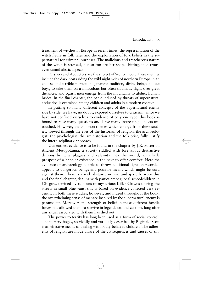treatment of witches in Europe in recent times, the representation of the witch figure in folk tales and the exploitation of folk beliefs in the supernatural for criminal purposes. The malicious and treacherous nature of the witch is stressed, but so too are her shape-shifting, monstrous, even cannibalistic aspects.

Pursuers and Abductors are the subject of Section Four. These enemies include the dark hosts riding the wild night skies of northern Europe in an endless and terrible pursuit. In Japanese tradition, divine beings abduct boys, to take them on a miraculous but often traumatic flight over great distances, and ogrish men emerge from the mountains to abduct human brides. In the final chapter, the panic induced by threats of supernatural abduction is examined among children and adults in a modern context.

In putting so many different concepts of the supernatural enemy side by side, we have, no doubt, exposed ourselves to criticism. Since we have not confined ourselves to evidence of only one type, this book is bound to raise many questions and leave many interesting subjects untouched. However, the common themes which emerge from these studies, viewed through the eyes of the historian of religion, the archaeologist, the psychologist, the art historian and the folklorist, fully justify the interdisciplinary approach.

Our earliest evidence is to be found in the chapter by J.R. Porter on Ancient Mesopotamia, a society riddled with lore about destructive demons bringing plagues and calamity into the world, with little prospect of a happier existence in the next to offer comfort. Here the evidence of archaeology is able to throw additional light on recorded appeals to dangerous beings and possible means which might be used against them. There is a wide distance in time and space between this and the final chapter, dealing with panics among local schoolchildren in Glasgow, terrified by rumours of mysterious Killer Clowns touring the streets in small blue vans; this is based on evidence collected very recently. In both these studies, however, and indeed throughout the book, the overwhelming sense of menace inspired by the supernatural enemy is paramount. Moreover, the strength of belief in these different hostile forces has allowed them to survive in legend, art and custom, long after any ritual associated with them has died out.

The power to terrify has long been used as a form of social control. The nursery bogey, so vividly and variously described by Reginald Scot, is an effective means of dealing with badly-behaved children. The adherents of religion are made aware of the consequences and causes of sin,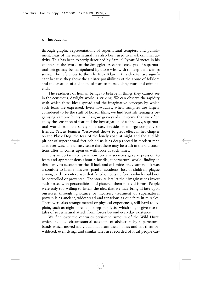#### x Introduction

through graphic representations of supernatural tempters and punishment. Fear of the supernatural has also been used to mask criminal activity. This has been expertly described by Samuel Pyeatt Menefee in his chapter on the World of the Smuggler. Accepted concepts of supernatural beings may be manipulated by those who wish to keep their crimes secret. The references to the Klu Klux Klan in this chapter are significant because they show the sinister possibilities of the abuse of folklore and the creation of a climate of fear, to pursue dangerous and criminal ends.

The readiness of human beings to believe in things they cannot see in the conscious, daylight world is striking. We can observe the rapidity with which these ideas spread and the imaginative concepts by which such fears are expressed. Even nowadays, when vampires are largely considered to be the stuff of horror films, we find Scottish teenagers organising vampire hunts in Glasgow graveyards. It seems that we often enjoy the sensation of fear and the investigation of a shadowy, supernatural world from the safety of a cosy fireside or a large company of friends. Yet, as Jennifer Westwood shows to great effect in her chapter on the Black Dog, the fear of the lonely road at night and the audible pit-pat of supernatural feet behind us is as deep-rooted in modern man as it ever was. The uneasy sense that there may be truth in the old traditions after all comes upon us with force at such times.

It is important to learn how certain societies gave expression to fears and apprehensions about a hostile, supernatural world, finding in this a way to account for the ill luck and calamities they suffered. It was a comfort to blame illnesses, painful accidents, loss of children, plague among cattle or enterprises that failed on outside forces which could not be controlled or prevented. The story-tellers let their imaginations invest such forces with personalities and pictured them in vivid forms. People were only too willing to listen: the idea that we may bring ill fate upon ourselves through ignorance or incorrect treatment of supernatural powers is as ancient, widespread and tenacious as our faith in miracles. There were also strange mental or physical experiences, still hard to explain, such as nightmares and sleep paralysis, which might give rise to tales of supernatural attack from forces beyond everyday existence.

We find over the centuries persistent rumours of the Wild Hunt, which included circumstantial accounts of abduction by supernatural bands which moved individuals far from their homes and left them bewildered, even dying, and similar tales are recorded of local people car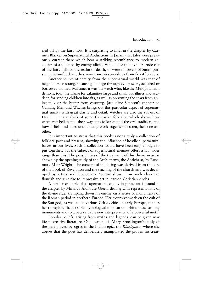ried off by the fairy host. It is surprising to find, in the chapter by Carmen Blacker on Supernatural Abductions in Japan, that tales were previously current there which bear a striking resemblance to modern accounts of abduction by enemy aliens. While once the invaders rode out of the fairy hills or the realm of death, or were followers of Satan pursuing the sinful dead, they now come in spaceships from far-off planets.

Another source of enmity from the supernatural world was that of neighbours or strangers causing damage through evil powers, acquired or borrowed. In medieval times it was the witch who, like the Mesopotamian demons, took the blame for calamities large and small, for illness and accident, for sending children into fits, as well as preventing the cows from giving milk or the butter from churning. Jacqueline Simpson's chapter on Cunning Men and Witches brings out this particular aspect of supernatural enmity with great clarity and detail. Witches are also the subject of David Hunt's analysis of some Caucasian folktales, which shows how witchcraft beliefs find their way into folktales and the oral tradition, and how beliefs and tales undoubtedly work together to strengthen one another.

It is important to stress that this book is not simply a collection of folklore past and present, showing the influence of hostile supernatural forces in our lives. Such a collection would have been easy enough to put together, but the subject of supernatural enemies offers a far wider range than this. The possibilities of the treatment of this theme in art is shown by the opening study of the Arch-enemy, the Antichrist, by Rosemary Muir Wright. The concept of this being was derived from the lore of the Book of Revelation and the teaching of the church and was developed by artists and theologians. We are shown how such ideas can flourish and give rise to impressive art in learned Christian circles.

A further example of a supernatural enemy inspiring art is found in the chapter by Miranda Aldhouse Green, dealing with representations of the divine rider trampling down his enemy on a series of monuments of the Roman period in northern Europe. Her extensive work on the cult of the Sun-god, as well as on various Celtic deities in early Europe, enables her to explore the possible mythological implication behind these striking monuments and to give a valuable new interpretation of a powerful motif.

Popular beliefs, arising from myths and legends, can be given new life in creative literature. One example is Mary Brockington's study of the part played by ogres in the Indian epic, the *Rāmā yana*, where she argues that the poet has deliberately manipulated the plot in his treat-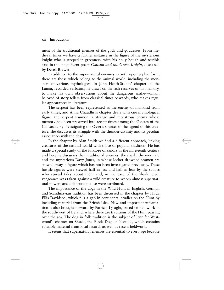#### xii Introduction

ment of the traditional enemies of the gods and goddesses. From medieval times we have a further instance in the figure of the mysterious knight who is steeped in greenness, with his holly bough and terrible axe, in the magnificent poem *Gawain and the Green Knight*, discussed by Derek Brewer.

In addition to the supernatural enemies in anthropomorphic form, there are those which belong to the animal world, including the monsters of various mythologies. In John Heath-Stubbs' chapter on the Lamia, recorded verbatim, he draws on the rich reserves of his memory, to make his own observations about the dangerous snake-woman, beloved of story-tellers from classical times onwards, who makes regular appearances in literature.

The serpent has been represented as the enemy of mankind from early times, and Anna Chaudhri's chapter deals with one mythological figure, the serpent Ruimon, a strange and monstrous enemy whose memory has been preserved into recent times among the Ossetes of the Caucasus. By investigating the Ossetic sources of the legend of this creature, she discusses its struggle with the thunder-divinity and its peculiar association with the dead.

In the chapter by Alan Smith we find a different approach, linking creatures of the natural world with those of popular tradition. He has made a special study of the folklore of sailors in the nineteenth century and here he discusses their traditional enemies: the shark, the mermaid and the mysterious Davy Jones, in whose locker drowned seamen are stowed away, a figure which has not been investigated previously. These hostile figures were viewed half in jest and half in fear by the sailors who spread tales about them and, in the case of the shark, cruel vengeance was taken against a wild creature to whom almost supernatural powers and deliberate malice were attributed.

The importance of the dogs in the Wild Hunt in English, German and Scandinavian tradition has been discussed in the chapter by Hilda Ellis Davidson, which fills a gap in continental studies on the Hunt by including material from the British Isles. New and important information is also brought forward by Patricia Lysaght, based on fieldwork in the south-west of Ireland, where there are traditions of the Hunt passing over the sea. The dog in folk tradition is the subject of Jennifer Westwood's chapter on Shuck, the Black Dog of Norfolk, which contains valuable material from local records as well as recent fieldwork.

It seems that supernatural enemies are essential to every age because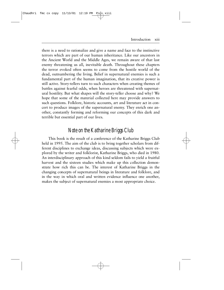Introduction xiii

there is a need to rationalize and give a name and face to the instinctive terrors which are part of our human inheritance. Like our ancestors in the Ancient World and the Middle Ages, we remain aware of that last enemy threatening us all, inevitable death. Throughout these chapters the terror evoked often seems to come from the hostile world of the dead, outnumbering the living. Belief in supernatural enemies is such a fundamental part of the human imagination, that its creative power is still active. Story-tellers turn to such characters when creating themes of battles against fearful odds, when heroes are threatened with supernatural hostility. But what shapes will the story-teller choose and why? We hope that some of the material collected here may provide answers to such questions. Folklore, historic accounts, art and literature act in concert to produce images of the supernatural enemy. They enrich one another, constantly forming and reforming our concepts of this dark and terrible but essential part of our lives.

## *Note on the Katharine Briggs Club*

This book is the result of a conference of the Katharine Briggs Club held in 1995. The aim of the club is to bring together scholars from different disciplines to exchange ideas, discussing subjects which were explored by the writer and folklorist, Katharine Briggs, who died in 1980. An interdisciplinary approach of this kind seldom fails to yield a fruitful harvest and the sixteen studies which make up this collection demonstrate how rich this can be. The interest of Katharine Briggs in the changing concepts of supernatural beings in literature and folklore, and in the way in which oral and written evidence influence one another, makes the subject of supernatural enemies a most appropriate choice.